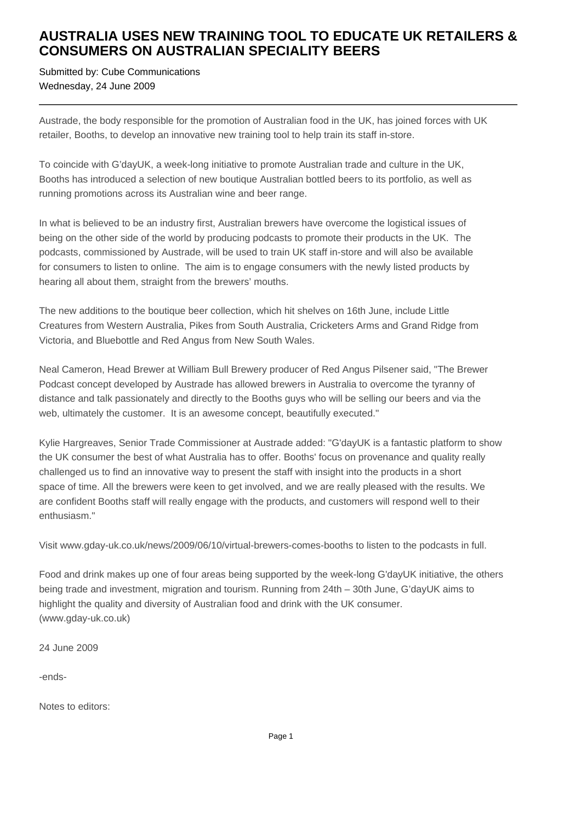## **AUSTRALIA USES NEW TRAINING TOOL TO EDUCATE UK RETAILERS & CONSUMERS ON AUSTRALIAN SPECIALITY BEERS**

Submitted by: Cube Communications Wednesday, 24 June 2009

Austrade, the body responsible for the promotion of Australian food in the UK, has joined forces with UK retailer, Booths, to develop an innovative new training tool to help train its staff in-store.

To coincide with G'dayUK, a week-long initiative to promote Australian trade and culture in the UK, Booths has introduced a selection of new boutique Australian bottled beers to its portfolio, as well as running promotions across its Australian wine and beer range.

In what is believed to be an industry first, Australian brewers have overcome the logistical issues of being on the other side of the world by producing podcasts to promote their products in the UK. The podcasts, commissioned by Austrade, will be used to train UK staff in-store and will also be available for consumers to listen to online. The aim is to engage consumers with the newly listed products by hearing all about them, straight from the brewers' mouths.

The new additions to the boutique beer collection, which hit shelves on 16th June, include Little Creatures from Western Australia, Pikes from South Australia, Cricketers Arms and Grand Ridge from Victoria, and Bluebottle and Red Angus from New South Wales.

Neal Cameron, Head Brewer at William Bull Brewery producer of Red Angus Pilsener said, "The Brewer Podcast concept developed by Austrade has allowed brewers in Australia to overcome the tyranny of distance and talk passionately and directly to the Booths guys who will be selling our beers and via the web, ultimately the customer. It is an awesome concept, beautifully executed."

Kylie Hargreaves, Senior Trade Commissioner at Austrade added: "G'dayUK is a fantastic platform to show the UK consumer the best of what Australia has to offer. Booths' focus on provenance and quality really challenged us to find an innovative way to present the staff with insight into the products in a short space of time. All the brewers were keen to get involved, and we are really pleased with the results. We are confident Booths staff will really engage with the products, and customers will respond well to their enthusiasm."

Visit www.gday-uk.co.uk/news/2009/06/10/virtual-brewers-comes-booths to listen to the podcasts in full.

Food and drink makes up one of four areas being supported by the week-long G'dayUK initiative, the others being trade and investment, migration and tourism. Running from 24th – 30th June, G'dayUK aims to highlight the quality and diversity of Australian food and drink with the UK consumer. (www.gday-uk.co.uk)

24 June 2009

-ends-

Notes to editors: